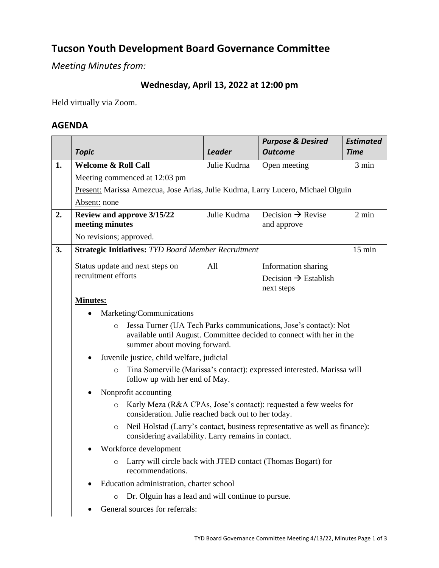# **Tucson Youth Development Board Governance Committee**

*Meeting Minutes from:*

## **Wednesday, April 13, 2022 at 12:00 pm**

Held virtually via Zoom.

## **AGENDA**

|    |                                                                                                                                                                                                                                               |                                                                                                                                    | <b>Purpose &amp; Desired</b>                   | <b>Estimated</b> |  |  |  |
|----|-----------------------------------------------------------------------------------------------------------------------------------------------------------------------------------------------------------------------------------------------|------------------------------------------------------------------------------------------------------------------------------------|------------------------------------------------|------------------|--|--|--|
|    | <b>Topic</b>                                                                                                                                                                                                                                  | <b>Leader</b>                                                                                                                      | <b>Outcome</b>                                 | <b>Time</b>      |  |  |  |
| 1. | <b>Welcome &amp; Roll Call</b>                                                                                                                                                                                                                | Julie Kudrna                                                                                                                       | Open meeting                                   | 3 min            |  |  |  |
|    | Meeting commenced at 12:03 pm                                                                                                                                                                                                                 |                                                                                                                                    |                                                |                  |  |  |  |
|    | Present: Marissa Amezcua, Jose Arias, Julie Kudrna, Larry Lucero, Michael Olguin                                                                                                                                                              |                                                                                                                                    |                                                |                  |  |  |  |
|    | Absent: none                                                                                                                                                                                                                                  |                                                                                                                                    |                                                |                  |  |  |  |
| 2. | Review and approve 3/15/22                                                                                                                                                                                                                    | Julie Kudrna                                                                                                                       | Decision $\rightarrow$ Revise                  | $2 \text{ min}$  |  |  |  |
|    | meeting minutes                                                                                                                                                                                                                               |                                                                                                                                    | and approve                                    |                  |  |  |  |
|    | No revisions; approved.                                                                                                                                                                                                                       |                                                                                                                                    |                                                |                  |  |  |  |
| 3. | $15$ min<br><b>Strategic Initiatives: TYD Board Member Recruitment</b>                                                                                                                                                                        |                                                                                                                                    |                                                |                  |  |  |  |
|    | Status update and next steps on                                                                                                                                                                                                               | All                                                                                                                                | Information sharing                            |                  |  |  |  |
|    | recruitment efforts                                                                                                                                                                                                                           |                                                                                                                                    | Decision $\rightarrow$ Establish<br>next steps |                  |  |  |  |
|    | <b>Minutes:</b>                                                                                                                                                                                                                               |                                                                                                                                    |                                                |                  |  |  |  |
|    | Marketing/Communications                                                                                                                                                                                                                      |                                                                                                                                    |                                                |                  |  |  |  |
|    | Jessa Turner (UA Tech Parks communications, Jose's contact): Not<br>$\circ$<br>available until August. Committee decided to connect with her in the<br>summer about moving forward.<br>Juvenile justice, child welfare, judicial<br>$\bullet$ |                                                                                                                                    |                                                |                  |  |  |  |
|    |                                                                                                                                                                                                                                               |                                                                                                                                    |                                                |                  |  |  |  |
|    | $\circ$                                                                                                                                                                                                                                       | Tina Somerville (Marissa's contact): expressed interested. Marissa will<br>follow up with her end of May.                          |                                                |                  |  |  |  |
|    | Nonprofit accounting<br>Karly Meza (R&A CPAs, Jose's contact): requested a few weeks for<br>$\circ$<br>consideration. Julie reached back out to her today.                                                                                    |                                                                                                                                    |                                                |                  |  |  |  |
|    |                                                                                                                                                                                                                                               |                                                                                                                                    |                                                |                  |  |  |  |
|    | $\circ$                                                                                                                                                                                                                                       | Neil Holstad (Larry's contact, business representative as well as finance):<br>considering availability. Larry remains in contact. |                                                |                  |  |  |  |
|    | Workforce development<br>Larry will circle back with JTED contact (Thomas Bogart) for<br>$\circ$<br>recommendations.                                                                                                                          |                                                                                                                                    |                                                |                  |  |  |  |
|    |                                                                                                                                                                                                                                               |                                                                                                                                    |                                                |                  |  |  |  |
|    | Education administration, charter school                                                                                                                                                                                                      |                                                                                                                                    |                                                |                  |  |  |  |
|    | Dr. Olguin has a lead and will continue to pursue.<br>$\circ$                                                                                                                                                                                 |                                                                                                                                    |                                                |                  |  |  |  |
|    | General sources for referrals:                                                                                                                                                                                                                |                                                                                                                                    |                                                |                  |  |  |  |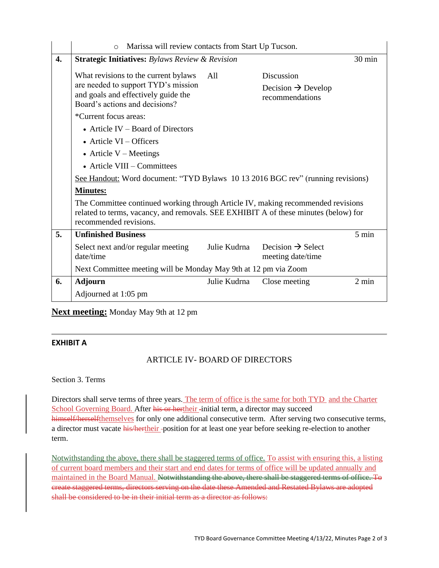|    | Marissa will review contacts from Start Up Tucson.<br>$\circ$                                                                                                                                                                                                                                                                                                                                                                                     |              |                                                                 |        |  |  |
|----|---------------------------------------------------------------------------------------------------------------------------------------------------------------------------------------------------------------------------------------------------------------------------------------------------------------------------------------------------------------------------------------------------------------------------------------------------|--------------|-----------------------------------------------------------------|--------|--|--|
| 4. | <b>Strategic Initiatives:</b> Bylaws Review & Revision                                                                                                                                                                                                                                                                                                                                                                                            |              |                                                                 | 30 min |  |  |
|    | What revisions to the current bylaws<br>are needed to support TYD's mission<br>and goals and effectively guide the<br>Board's actions and decisions?                                                                                                                                                                                                                                                                                              | All          | Discussion<br>Decision $\rightarrow$ Develop<br>recommendations |        |  |  |
|    | *Current focus areas:<br>• Article IV – Board of Directors<br>$\bullet$ Article VI – Officers<br>• Article $V$ – Meetings<br>$\bullet$ Article VIII – Committees<br>See Handout: Word document: "TYD Bylaws 10 13 2016 BGC rev" (running revisions)<br><b>Minutes:</b><br>The Committee continued working through Article IV, making recommended revisions<br>related to terms, vacancy, and removals. SEE EXHIBIT A of these minutes (below) for |              |                                                                 |        |  |  |
|    | recommended revisions.                                                                                                                                                                                                                                                                                                                                                                                                                            |              |                                                                 |        |  |  |
| 5. | <b>Unfinished Business</b>                                                                                                                                                                                                                                                                                                                                                                                                                        |              |                                                                 | 5 min  |  |  |
|    | Select next and/or regular meeting<br>date/time                                                                                                                                                                                                                                                                                                                                                                                                   | Julie Kudrna | Decision $\rightarrow$ Select<br>meeting date/time              |        |  |  |
|    | Next Committee meeting will be Monday May 9th at 12 pm via Zoom                                                                                                                                                                                                                                                                                                                                                                                   |              |                                                                 |        |  |  |
| 6. | <b>Adjourn</b>                                                                                                                                                                                                                                                                                                                                                                                                                                    | Julie Kudrna | Close meeting                                                   | 2 min  |  |  |
|    | Adjourned at 1:05 pm                                                                                                                                                                                                                                                                                                                                                                                                                              |              |                                                                 |        |  |  |

**Next meeting:** Monday May 9th at 12 pm

### **EXHIBIT A**

### ARTICLE IV- BOARD OF DIRECTORS

Section 3. Terms

Directors shall serve terms of three years. The term of office is the same for both TYD and the Charter School Governing Board. After his or hertheir -initial term, a director may succeed himself/herselfthemselves for only one additional consecutive term. After serving two consecutive terms, a director must vacate his/hertheir -position for at least one year before seeking re-election to another term.

Notwithstanding the above, there shall be staggered terms of office. To assist with ensuring this, a listing of current board members and their start and end dates for terms of office will be updated annually and maintained in the Board Manual. Notwithstanding the above, there shall be staggered terms of office. To create staggered terms, directors serving on the date these Amended and Restated Bylaws are adopted shall be considered to be in their initial term as a director as follows: